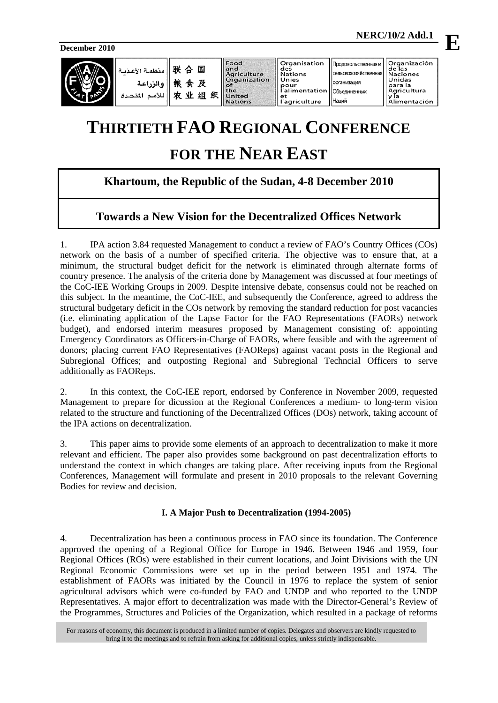**December 2010**



| <br>   联合国  سنظمة <br>  -   粮食及   والزراعا<br>   火业组织 |  |
|-------------------------------------------------------|--|
|                                                       |  |

Food<br>and and<br>Agriculture<br>Organization<br>of ..<br>Jnited **Vations** 

Organisation<br>des Nations<br>Unies pour<br>|pour<br>|'alimentation et<br>l'agriculture

Organización<br>de las Проловольственная и сельскохозяйственна **Naciones** Unidas организация para la<br>Agricultura<br>y la Объединенных y la<br>Alimentación

Наций

# **THIRTIETH FAO REGIONAL CONFERENCE FOR THE NEAR EAST**

# **Khartoum, the Republic of the Sudan, 4-8 December 2010**

# **Towards a New Vision for the Decentralized Offices Network**

1. IPA action 3.84 requested Management to conduct a review of FAO's Country Offices (COs) network on the basis of a number of specified criteria. The objective was to ensure that, at a minimum, the structural budget deficit for the network is eliminated through alternate forms of country presence. The analysis of the criteria done by Management was discussed at four meetings of the CoC-IEE Working Groups in 2009. Despite intensive debate, consensus could not be reached on this subject. In the meantime, the CoC-IEE, and subsequently the Conference, agreed to address the structural budgetary deficit in the COs network by removing the standard reduction for post vacancies (i.e. eliminating application of the Lapse Factor for the FAO Representations (FAORs) network budget), and endorsed interim measures proposed by Management consisting of: appointing Emergency Coordinators as Officers-in-Charge of FAORs, where feasible and with the agreement of donors; placing current FAO Representatives (FAOReps) against vacant posts in the Regional and Subregional Offices; and outposting Regional and Subregional Techncial Officers to serve additionally as FAOReps.

2. In this context, the CoC-IEE report, endorsed by Conference in November 2009, requested Management to prepare for dicussion at the Regional Conferences a medium- to long-term vision related to the structure and functioning of the Decentralized Offices (DOs) network, taking account of the IPA actions on decentralization.

3. This paper aims to provide some elements of an approach to decentralization to make it more relevant and efficient. The paper also provides some background on past decentralization efforts to understand the context in which changes are taking place. After receiving inputs from the Regional Conferences, Management will formulate and present in 2010 proposals to the relevant Governing Bodies for review and decision.

# **I. A Major Push to Decentralization (1994-2005)**

4. Decentralization has been a continuous process in FAO since its foundation. The Conference approved the opening of a Regional Office for Europe in 1946. Between 1946 and 1959, four Regional Offices (ROs) were established in their current locations, and Joint Divisions with the UN Regional Economic Commissions were set up in the period between 1951 and 1974. The establishment of FAORs was initiated by the Council in 1976 to replace the system of senior agricultural advisors which were co-funded by FAO and UNDP and who reported to the UNDP Representatives. A major effort to decentralization was made with the Director-General's Review of the Programmes, Structures and Policies of the Organization, which resulted in a package of reforms

**E**

For reasons of economy, this document is produced in a limited number of copies. Delegates and observers are kindly requested to bring it to the meetings and to refrain from asking for additional copies, unless strictly indispensable.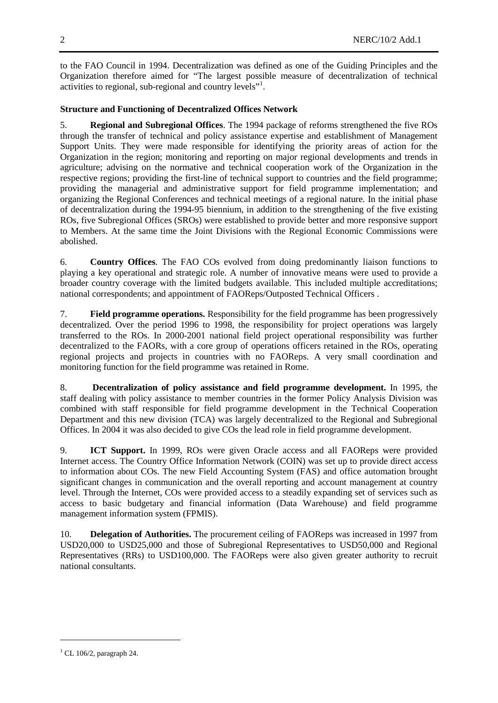to the FAO Council in 1994. Decentralization was defined as one of the Guiding Principles and the Organization therefore aimed for "The largest possible measure of decentralization of technical activities to regional, sub-regional and country levels"<sup>[1](#page-1-0)</sup>.

# **Structure and Functioning of Decentralized Offices Network**

5. **Regional and Subregional Offices**. The 1994 package of reforms strengthened the five ROs through the transfer of technical and policy assistance expertise and establishment of Management Support Units. They were made responsible for identifying the priority areas of action for the Organization in the region; monitoring and reporting on major regional developments and trends in agriculture; advising on the normative and technical cooperation work of the Organization in the respective regions; providing the first-line of technical support to countries and the field programme; providing the managerial and administrative support for field programme implementation; and organizing the Regional Conferences and technical meetings of a regional nature. In the initial phase of decentralization during the 1994-95 biennium, in addition to the strengthening of the five existing ROs, five Subregional Offices (SROs) were established to provide better and more responsive support to Members. At the same time the Joint Divisions with the Regional Economic Commissions were abolished.

6. **Country Offices**. The FAO COs evolved from doing predominantly liaison functions to playing a key operational and strategic role. A number of innovative means were used to provide a broader country coverage with the limited budgets available. This included multiple accreditations; national correspondents; and appointment of FAOReps/Outposted Technical Officers .

7. **Field programme operations.** Responsibility for the field programme has been progressively decentralized. Over the period 1996 to 1998, the responsibility for project operations was largely transferred to the ROs. In 2000-2001 national field project operational responsibility was further decentralized to the FAORs, with a core group of operations officers retained in the ROs, operating regional projects and projects in countries with no FAOReps. A very small coordination and monitoring function for the field programme was retained in Rome.

8. **Decentralization of policy assistance and field programme development.** In 1995, the staff dealing with policy assistance to member countries in the former Policy Analysis Division was combined with staff responsible for field programme development in the Technical Cooperation Department and this new division (TCA) was largely decentralized to the Regional and Subregional Offices. In 2004 it was also decided to give COs the lead role in field programme development.

9. **ICT Support.** In 1999, ROs were given Oracle access and all FAOReps were provided Internet access. The Country Office Information Network (COIN) was set up to provide direct access to information about COs. The new Field Accounting System (FAS) and office automation brought significant changes in communication and the overall reporting and account management at country level. Through the Internet, COs were provided access to a steadily expanding set of services such as access to basic budgetary and financial information (Data Warehouse) and field programme management information system (FPMIS).

10. **Delegation of Authorities.** The procurement ceiling of FAOReps was increased in 1997 from USD20,000 to USD25,000 and those of Subregional Representatives to USD50,000 and Regional Representatives (RRs) to USD100,000. The FAOReps were also given greater authority to recruit national consultants.

-

<span id="page-1-0"></span> $1$  CL 106/2, paragraph 24.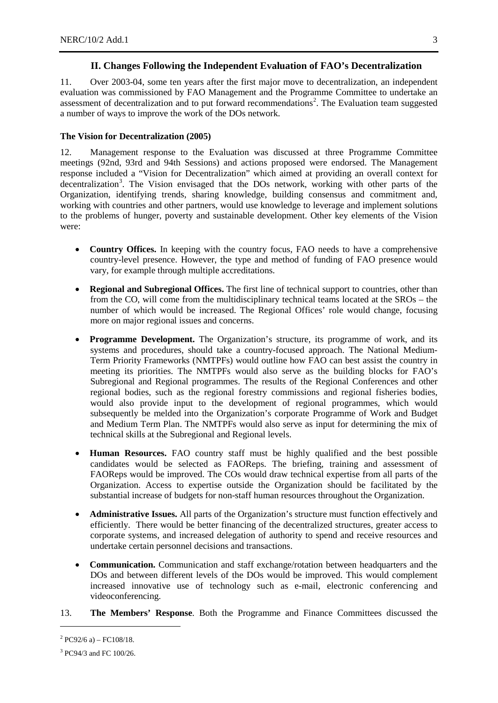#### **II. Changes Following the Independent Evaluation of FAO's Decentralization**

11. Over 2003-04, some ten years after the first major move to decentralization, an independent evaluation was commissioned by FAO Management and the Programme Committee to undertake an assessment of decentralization and to put forward recommendations<sup>[2](#page-2-0)</sup>. The Evaluation team suggested a number of ways to improve the work of the DOs network.

#### **The Vision for Decentralization (2005)**

12. Management response to the Evaluation was discussed at three Programme Committee meetings (92nd, 93rd and 94th Sessions) and actions proposed were endorsed. The Management response included a "Vision for Decentralization" which aimed at providing an overall context for decentralization<sup>[3](#page-2-1)</sup>. The Vision envisaged that the DOs network, working with other parts of the Organization, identifying trends, sharing knowledge, building consensus and commitment and, working with countries and other partners, would use knowledge to leverage and implement solutions to the problems of hunger, poverty and sustainable development. Other key elements of the Vision were:

- **Country Offices.** In keeping with the country focus, FAO needs to have a comprehensive country-level presence. However, the type and method of funding of FAO presence would vary, for example through multiple accreditations.
- **Regional and Subregional Offices.** The first line of technical support to countries, other than from the CO, will come from the multidisciplinary technical teams located at the SROs – the number of which would be increased. The Regional Offices' role would change, focusing more on major regional issues and concerns.
- **Programme Development.** The Organization's structure, its programme of work, and its systems and procedures, should take a country-focused approach. The National Medium-Term Priority Frameworks (NMTPFs) would outline how FAO can best assist the country in meeting its priorities. The NMTPFs would also serve as the building blocks for FAO's Subregional and Regional programmes. The results of the Regional Conferences and other regional bodies, such as the regional forestry commissions and regional fisheries bodies, would also provide input to the development of regional programmes, which would subsequently be melded into the Organization's corporate Programme of Work and Budget and Medium Term Plan. The NMTPFs would also serve as input for determining the mix of technical skills at the Subregional and Regional levels.
- **Human Resources.** FAO country staff must be highly qualified and the best possible candidates would be selected as FAOReps. The briefing, training and assessment of FAOReps would be improved. The COs would draw technical expertise from all parts of the Organization. Access to expertise outside the Organization should be facilitated by the substantial increase of budgets for non-staff human resources throughout the Organization.
- **Administrative Issues.** All parts of the Organization's structure must function effectively and efficiently. There would be better financing of the decentralized structures, greater access to corporate systems, and increased delegation of authority to spend and receive resources and undertake certain personnel decisions and transactions.
- **Communication.** Communication and staff exchange/rotation between headquarters and the DOs and between different levels of the DOs would be improved. This would complement increased innovative use of technology such as e-mail, electronic conferencing and videoconferencing.
- 13. **The Members' Response**. Both the Programme and Finance Committees discussed the

<u>.</u>

<span id="page-2-0"></span> $^{2}$  PC92/6 a) – FC108/18.

<span id="page-2-1"></span><sup>3</sup> PC94/3 and FC 100/26.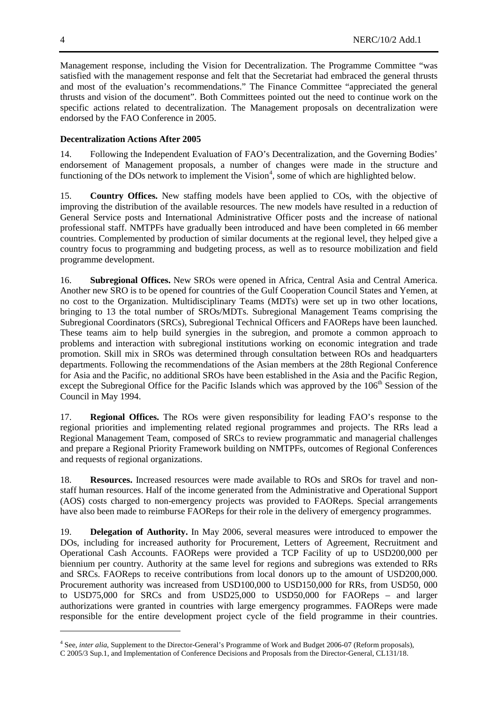Management response, including the Vision for Decentralization. The Programme Committee "was satisfied with the management response and felt that the Secretariat had embraced the general thrusts and most of the evaluation's recommendations." The Finance Committee "appreciated the general thrusts and vision of the document". Both Committees pointed out the need to continue work on the specific actions related to decentralization. The Management proposals on decentralization were endorsed by the FAO Conference in 2005.

# **Decentralization Actions After 2005**

14. Following the Independent Evaluation of FAO's Decentralization, and the Governing Bodies' endorsement of Management proposals, a number of changes were made in the structure and functioning of the DOs network to implement the Vision<sup>[4](#page-3-0)</sup>, some of which are highlighted below.

15. **Country Offices.** New staffing models have been applied to COs, with the objective of improving the distribution of the available resources. The new models have resulted in a reduction of General Service posts and International Administrative Officer posts and the increase of national professional staff. NMTPFs have gradually been introduced and have been completed in 66 member countries. Complemented by production of similar documents at the regional level, they helped give a country focus to programming and budgeting process, as well as to resource mobilization and field programme development.

16. **Subregional Offices.** New SROs were opened in Africa, Central Asia and Central America. Another new SRO is to be opened for countries of the Gulf Cooperation Council States and Yemen, at no cost to the Organization. Multidisciplinary Teams (MDTs) were set up in two other locations, bringing to 13 the total number of SROs/MDTs. Subregional Management Teams comprising the Subregional Coordinators (SRCs), Subregional Technical Officers and FAOReps have been launched. These teams aim to help build synergies in the subregion, and promote a common approach to problems and interaction with subregional institutions working on economic integration and trade promotion. Skill mix in SROs was determined through consultation between ROs and headquarters departments. Following the recommendations of the Asian members at the 28th Regional Conference for Asia and the Pacific, no additional SROs have been established in the Asia and the Pacific Region, except the Subregional Office for the Pacific Islands which was approved by the 106<sup>th</sup> Session of the Council in May 1994.

17. **Regional Offices.** The ROs were given responsibility for leading FAO's response to the regional priorities and implementing related regional programmes and projects. The RRs lead a Regional Management Team, composed of SRCs to review programmatic and managerial challenges and prepare a Regional Priority Framework building on NMTPFs, outcomes of Regional Conferences and requests of regional organizations.

18. **Resources.** Increased resources were made available to ROs and SROs for travel and nonstaff human resources. Half of the income generated from the Administrative and Operational Support (AOS) costs charged to non-emergency projects was provided to FAOReps. Special arrangements have also been made to reimburse FAOReps for their role in the delivery of emergency programmes.

19. **Delegation of Authority.** In May 2006, several measures were introduced to empower the DOs, including for increased authority for Procurement, Letters of Agreement, Recruitment and Operational Cash Accounts. FAOReps were provided a TCP Facility of up to USD200,000 per biennium per country. Authority at the same level for regions and subregions was extended to RRs and SRCs. FAOReps to receive contributions from local donors up to the amount of USD200,000. Procurement authority was increased from USD100,000 to USD150,000 for RRs, from USD50, 000 to USD75,000 for SRCs and from USD25,000 to USD50,000 for FAOReps – and larger authorizations were granted in countries with large emergency programmes. FAOReps were made responsible for the entire development project cycle of the field programme in their countries.

<u>.</u>

<span id="page-3-0"></span><sup>4</sup> See, *inter alia*, Supplement to the Director-General's Programme of Work and Budget 2006-07 (Reform proposals), C 2005/3 Sup.1, and Implementation of Conference Decisions and Proposals from the Director-General, CL131/18.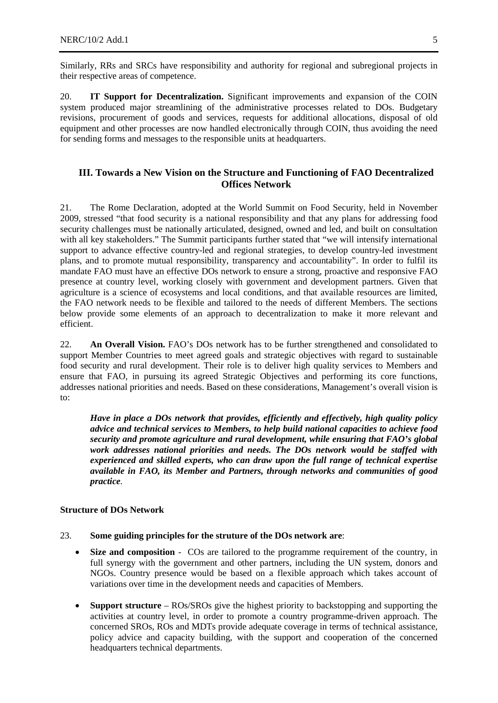Similarly, RRs and SRCs have responsibility and authority for regional and subregional projects in their respective areas of competence.

20. **IT Support for Decentralization.** Significant improvements and expansion of the COIN system produced major streamlining of the administrative processes related to DOs. Budgetary revisions, procurement of goods and services, requests for additional allocations, disposal of old equipment and other processes are now handled electronically through COIN, thus avoiding the need for sending forms and messages to the responsible units at headquarters.

## **III. Towards a New Vision on the Structure and Functioning of FAO Decentralized Offices Network**

21. The Rome Declaration, adopted at the World Summit on Food Security, held in November 2009, stressed "that food security is a national responsibility and that any plans for addressing food security challenges must be nationally articulated, designed, owned and led, and built on consultation with all key stakeholders." The Summit participants further stated that "we will intensify international support to advance effective country-led and regional strategies, to develop country-led investment plans, and to promote mutual responsibility, transparency and accountability". In order to fulfil its mandate FAO must have an effective DOs network to ensure a strong, proactive and responsive FAO presence at country level, working closely with government and development partners. Given that agriculture is a science of ecosystems and local conditions, and that available resources are limited, the FAO network needs to be flexible and tailored to the needs of different Members. The sections below provide some elements of an approach to decentralization to make it more relevant and efficient.

22. **An Overall Vision.** FAO's DOs network has to be further strengthened and consolidated to support Member Countries to meet agreed goals and strategic objectives with regard to sustainable food security and rural development. Their role is to deliver high quality services to Members and ensure that FAO, in pursuing its agreed Strategic Objectives and performing its core functions, addresses national priorities and needs. Based on these considerations, Management's overall vision is to:

*Have in place a DOs network that provides, efficiently and effectively, high quality policy advice and technical services to Members, to help build national capacities to achieve food security and promote agriculture and rural development, while ensuring that FAO's global work addresses national priorities and needs. The DOs network would be staffed with experienced and skilled experts, who can draw upon the full range of technical expertise available in FAO, its Member and Partners, through networks and communities of good practice.* 

### **Structure of DOs Network**

## 23. **Some guiding principles for the struture of the DOs network are**:

- **Size and composition** COs are tailored to the programme requirement of the country, in full synergy with the government and other partners, including the UN system, donors and NGOs. Country presence would be based on a flexible approach which takes account of variations over time in the development needs and capacities of Members.
- **Support structure** ROs/SROs give the highest priority to backstopping and supporting the activities at country level, in order to promote a country programme-driven approach. The concerned SROs, ROs and MDTs provide adequate coverage in terms of technical assistance, policy advice and capacity building, with the support and cooperation of the concerned headquarters technical departments.